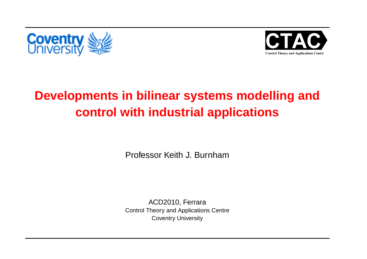



# **Developments in bilinear systems modelling andcontrol with industrial applications**

Professor Keith J. Burnham

ACD2010, Ferrara Control Theory and Applications CentreCoventry University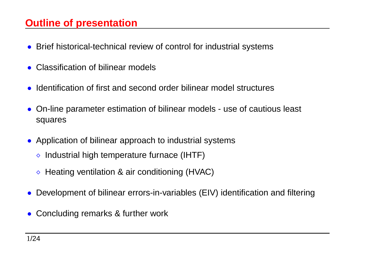### **Outline of presentation**

- Brief historical-technical review of control for industrial systems
- Classification of bilinear models
- Identification of first and second order bilinear model structures
- On-line parameter estimation of bilinear models use of cautious least squares
- Application of bilinear approach to industrial systems
	- $\diamond$  Industrial high temperature furnace (IHTF)
	- $\diamond$  Heating ventilation & air conditioning (HVAC)
- Development of bilinear errors-in-variables (EIV) identification and filtering
- Concluding remarks & further work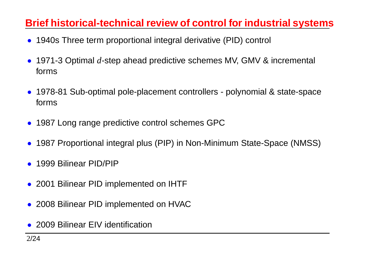### **Brief historical-technical review of control for industrial systems**

- 1940s Three term proportional integral derivative (PID) control
- 1971-3 Optimal *d*-step ahead predictive schemes MV, GMV & incremental forms
- 1978-81 Sub-optimal pole-placement controllers polynomial & state-spaceforms
- <sup>1987</sup> Long range predictive control schemes GPC
- <sup>1987</sup> Proportional integral plus (PIP) in Non-Minimum State-Space (NMSS)
- <sup>1999</sup> Bilinear PID/PIP
- <sup>2001</sup> Bilinear PID implemented on IHTF
- <sup>2008</sup> Bilinear PID implemented on HVAC
- <sup>2009</sup> Bilinear EIV identification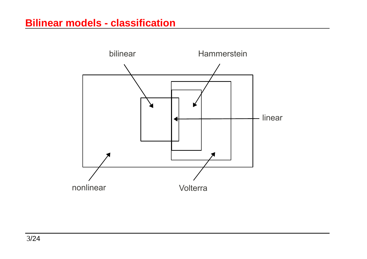#### **Bilinear models - classification**

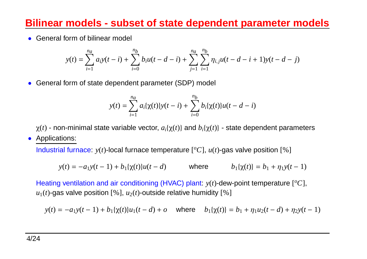### **Bilinear models - subset of state dependent parameter model s**

• General form of bilinear model

$$
y(t) = \sum_{i=1}^{n_a} a_i y(t-i) + \sum_{i=0}^{n_b} b_i u(t-d-i) + \sum_{j=1}^{n_a} \sum_{i=1}^{n_b} \eta_{i,j} u(t-d-i+1) y(t-d-j)
$$

• General form of state dependent parameter (SDP) model

$$
y(t) = \sum_{i=1}^{n_a} a_i \{\chi(t)\} y(t-i) + \sum_{i=0}^{n_b} b_i \{\chi(t)\} u(t-d-i)
$$

χ(*t*) - non-minimal state variable vector, *<sup>a</sup>i*{χ(*t*)} and*bi*{χ(*t*)} - state dependent parameters

• Applications:

Industrial furnace:  $y(t)$ -local furnace temperature [ $^{o}C$ ],  $u(t)$ -gas valve position [%]

$$
y(t) = -a_1y(t-1) + b_1\{\chi(t)\}u(t-d) \qquad \text{where} \qquad b_1\{\chi(t)\} = b_1 + \eta_1y(t-1)
$$

Heating ventilation and air conditioning (HVAC) plant:  $y(t)$ -dew-point temperature  $[^o C]$ ,  $u_1(t)$ -gas valve position [%],  $u_2(t)$ -outside relative humidity [%]

$$
y(t) = -a_1y(t-1) + b_1\{\chi(t)\}u_1(t-d) + o \quad \text{where} \quad b_1\{\chi(t)\} = b_1 + \eta_1u_2(t-d) + \eta_2y(t-1)
$$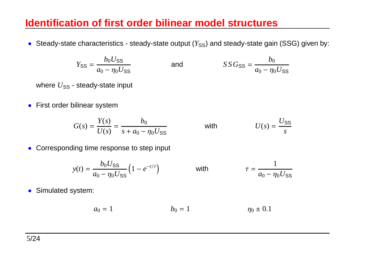#### **Identification of first order bilinear model structures**

 $\bullet~$  Steady-state characteristics - steady-state output  $(Y_{\rm SS})$  and steady-state gain (SSG) given by:

$$
Y_{SS} = \frac{b_0 U_{SS}}{a_0 - \eta_0 U_{SS}} \qquad \text{and} \qquad SS G_{SS} = \frac{b_0}{a_0 - \eta_0 U_{SS}}
$$

where  $U_{\rm SS}$  - steady-state input

• First order bilinear system

$$
G(s) = \frac{Y(s)}{U(s)} = \frac{b_0}{s + a_0 - \eta_0 U_{ss}} \qquad \text{with} \qquad U(s) = \frac{U_{ss}}{s}
$$

#### • Corresponding time response to step input

$$
y(t) = \frac{b_0 U_{SS}}{a_0 - \eta_0 U_{SS}} \left( 1 - e^{-t/\tau} \right) \qquad \text{with} \qquad \tau = \frac{1}{a_0 - \eta_0 U_{SS}}
$$

• Simulated system:

$$
a_0 = 1
$$
  $b_0 = 1$   $\eta_0 \pm 0.1$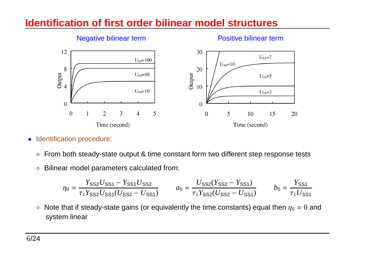#### **Identification of first order bilinear model structures**



#### Negative bilinear term Positive bilinear term

- $\bullet$  Identification procedure:
	- $\Diamond$ From both steady-state output & time constant form two different step response tests
	- ⋄Bilinear model parameters calculated from:

$$
\eta_0 = \frac{Y_{SS2}U_{SS1} - Y_{SS1}U_{SS2}}{\tau_1 Y_{SS2}U_{SS1}(U_{SS2} - U_{SS1})} \qquad a_0 = \frac{U_{SS2}(Y_{SS2} - Y_{SS1})}{\tau_1 Y_{SS2}(U_{SS2} - U_{SS1})} \qquad b_0 = \frac{Y_{SS1}}{\tau_1 U_{SS1}}
$$

 $\diamond~$  Note that if steady-state gains (or equivalently the time constants) equal then  $\eta_0=0$  and system linear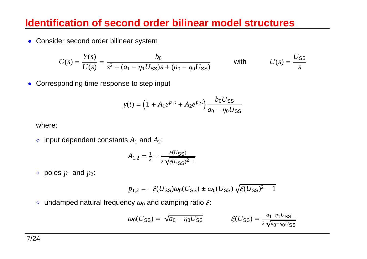#### **Identification of second order bilinear model structures**

• Consider second order bilinear system

$$
G(s) = \frac{Y(s)}{U(s)} = \frac{b_0}{s^2 + (a_1 - \eta_1 U_{SS})s + (a_0 - \eta_0 U_{SS})}
$$
 with  $U(s) = \frac{U_{SS}}{s}$ 

• Corresponding time response to step input

$$
y(t) = \left(1 + A_1 e^{p_1 t} + A_2 e^{p_2 t}\right) \frac{b_0 U_{\text{SS}}}{a_0 - \eta_0 U_{\text{SS}}}
$$

where:

 $\diamond$  input dependent constants  $A_1$  and  $A_2$ :

$$
A_{1,2} = \frac{1}{2} \pm \frac{\xi(U_{\text{SS}})}{2\sqrt{\xi(U_{\text{SS}})^2 - 1}}
$$

 $\diamond$  poles  $p_1$  and  $p_2$ :

$$
p_{1,2} = -\xi(U_{\text{SS}})\omega_0(U_{\text{SS}}) \pm \omega_0(U_{\text{SS}})\sqrt{\xi(U_{\text{SS}})^2 - 1}
$$

 $\diamond~$  undamped natural frequency  $\omega_0$  and damping ratio  $\xi$ :

$$
\omega_0(U_{\rm SS}) = \sqrt{a_0 - \eta_0 U_{\rm SS}} \qquad \qquad \xi(U_{\rm SS}) = \frac{a_1 - \eta_1 U_{\rm SS}}{2\sqrt{a_0 - \eta_0 U_{\rm SS}}}
$$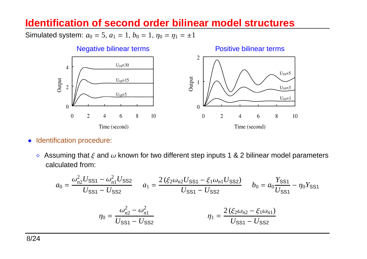#### **Identification of second order bilinear model structures**

Simulated system:  $a_0 = 5$ ,  $a_1 = 1$ ,  $b_0 = 1$ ,  $\eta_0 = \eta_1 = \pm 1$ 



- $\bullet$  Identification procedure:
	- $\diamond$  Assuming that  $\xi$  and  $\omega$  known for two different step inputs 1 & 2 bilinear model parameters calculated from:

$$
a_0 = \frac{\omega_{n2}^2 U_{\text{SS1}} - \omega_{n1}^2 U_{\text{SS2}}}{U_{\text{SS1}} - U_{\text{SS2}}}
$$
\n
$$
a_1 = \frac{2(\xi_2 \omega_{n2} U_{\text{SS1}} - \xi_1 \omega_{n1} U_{\text{SS2}})}{U_{\text{SS1}} - U_{\text{SS2}}}
$$
\n
$$
b_0 = a_0 \frac{Y_{\text{SS1}}}{U_{\text{SS1}}} - \eta_0 Y_{\text{SS1}}
$$
\n
$$
\eta_0 = \frac{\omega_{n2}^2 - \omega_{n1}^2}{U_{\text{SS1}} - U_{\text{SS2}}}
$$
\n
$$
\eta_1 = \frac{2(\xi_2 \omega_{n2} - \xi_1 \omega_{n1})}{U_{\text{SS1}} - U_{\text{SS2}}}
$$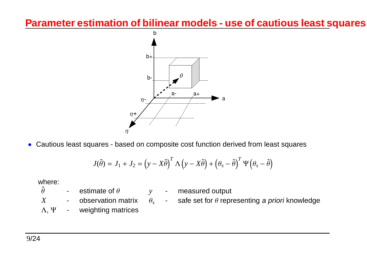#### **Parameter estimation of bilinear models - use of cautious least squares**



• Cautious least squares - based on composite cost function derived from least squares

$$
J(\hat{\theta}) = J_1 + J_2 = (y - X\hat{\theta})^T \Lambda (y - X\hat{\theta}) + (\theta_s - \hat{\theta})^T \Psi (\theta_s - \hat{\theta})
$$

where:

- $\hat{\theta}$  $\theta$  - estimate of  $\theta$
- *y* measured output
- $X$  observation matrix *X*
- $\theta_s$  - $_s$  - safe set for  $\theta$  representing a priori knowledge
- Λ, Ψ- weighting matrices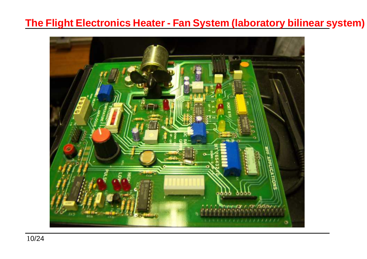#### **The Flight Electronics Heater - Fan System (laboratory bilinear system)**

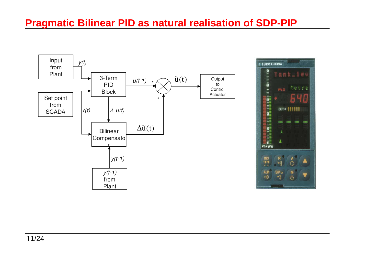#### **Pragmatic Bilinear PID as natural realisation of SDP-PIP**

Tank .. 100

OUT-Y ||||||

 $\tilde{C}$ 

V

PV-X

Δ

 $SP_v$ 

 $\frac{1}{12}$ 

ALM<br>((I)

Metre

640

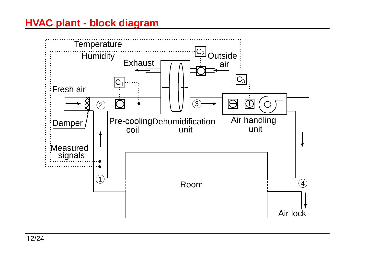## **HVAC plant - block diagram**

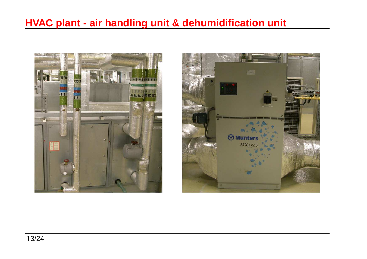## **HVAC plant - air handling unit & dehumidification unit**



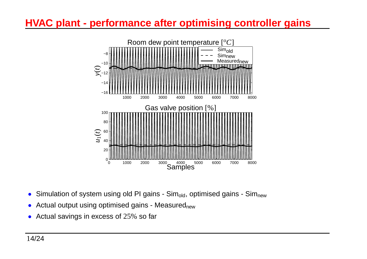## **HVAC plant - performance after optimising controller gains**



- $\bullet$ Simulation of system using old PI gains -  $Sim_{old}$ , optimised gains -  $Sim_{new}$
- $\bullet~$  Actual output using optimised gains Measured $_{\sf new}$
- Actual savings in excess of 25% so far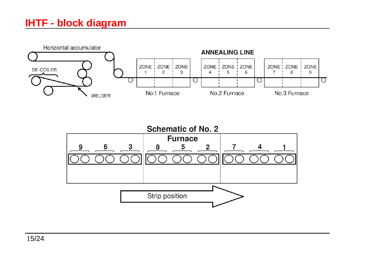### **IHTF - block diagram**



![](_page_15_Figure_2.jpeg)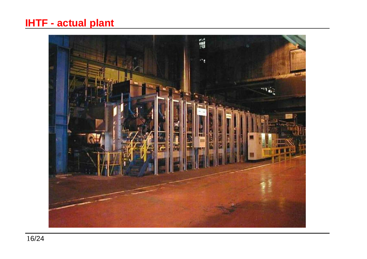### **IHTF - actual plant**

![](_page_16_Picture_1.jpeg)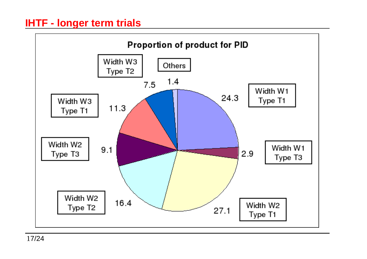![](_page_17_Figure_1.jpeg)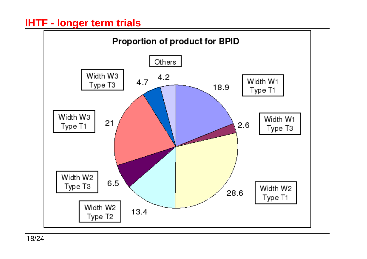![](_page_18_Figure_1.jpeg)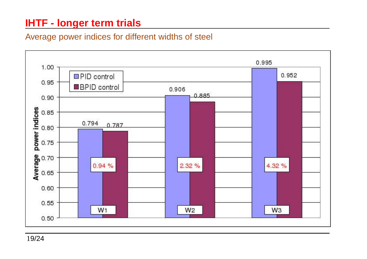#### Average power indices for different widths of steel

![](_page_19_Figure_2.jpeg)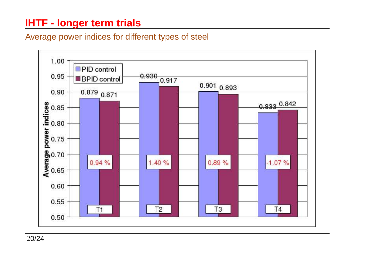#### Average power indices for different types of steel

![](_page_20_Figure_2.jpeg)

20/24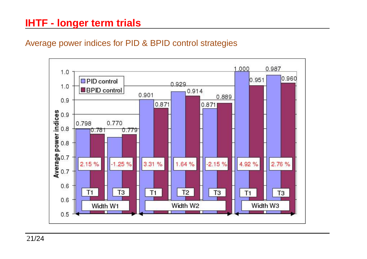#### Average power indices for PID & BPID control strategies

![](_page_21_Figure_2.jpeg)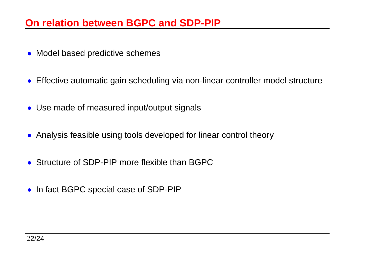#### **On relation between BGPC and SDP-PIP**

- Model based predictive schemes
- Effective automatic gain scheduling via non-linear controller model structure
- Use made of measured input/output signals
- Analysis feasible using tools developed for linear control theory
- Structure of SDP-PIP more flexible than BGPC
- In fact BGPC special case of SDP-PIP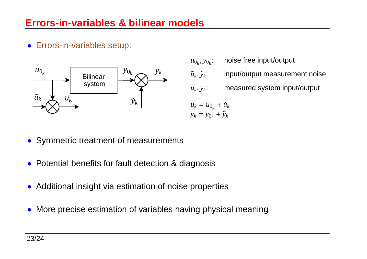#### **Errors-in-variables & bilinear models**

• Errors-in-variables setup:

![](_page_23_Figure_2.jpeg)

*u*0*k*, *y*0*<sup>k</sup>*: noise free input/output  $\tilde{u}_k, \tilde{y}$ *<sup>k</sup>*: input/output measurement noise*uk*, *y<sup>k</sup>*: measured system input/output  $u_k = u_{0_k} + \tilde{u}_k$ 

 $y_k = y_{0_k} + \tilde{y}_k$ 

- Symmetric treatment of measurements
- Potential benefits for fault detection & diagnosis
- Additional insight via estimation of noise properties
- More precise estimation of variables having physical meaning